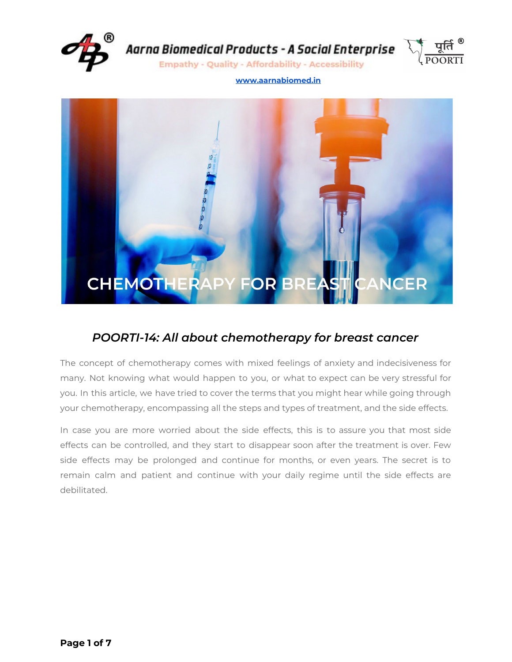



**Empathy - Quality - Affordability - Accessibility** 

#### **[www.aarnabiomed.in](http://www.aarnabiomed.in/)**



# *POORTI-14: All about chemotherapy for breast cancer*

The concept of chemotherapy comes with mixed feelings of anxiety and indecisiveness for many. Not knowing what would happen to you, or what to expect can be very stressful for you. In this article, we have tried to cover the terms that you might hear while going through your chemotherapy, encompassing all the steps and types of treatment, and the side effects.

In case you are more worried about the side effects, this is to assure you that most side effects can be controlled, and they start to disappear soon after the treatment is over. Few side effects may be prolonged and continue for months, or even years. The secret is to remain calm and patient and continue with your daily regime until the side effects are debilitated.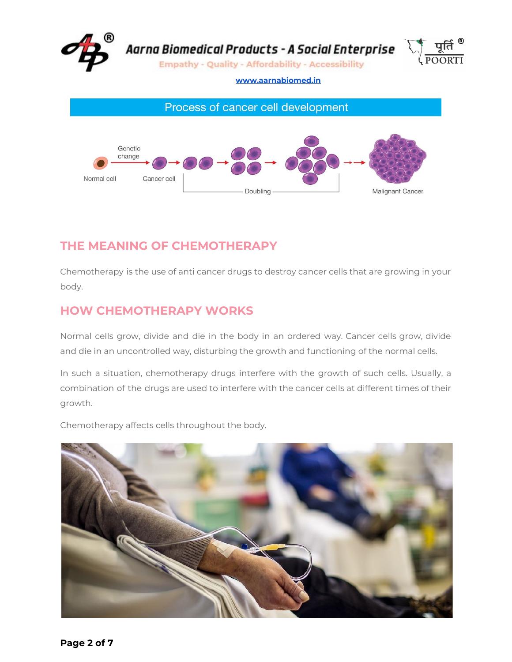



# **THE MEANING OF CHEMOTHERAPY**

Chemotherapy is the use of anti cancer drugs to destroy cancer cells that are growing in your body.

## **HOW CHEMOTHERAPY WORKS**

Normal cells grow, divide and die in the body in an ordered way. Cancer cells grow, divide and die in an uncontrolled way, disturbing the growth and functioning of the normal cells.

In such a situation, chemotherapy drugs interfere with the growth of such cells. Usually, a combination of the drugs are used to interfere with the cancer cells at different times of their growth.

Chemotherapy affects cells throughout the body.

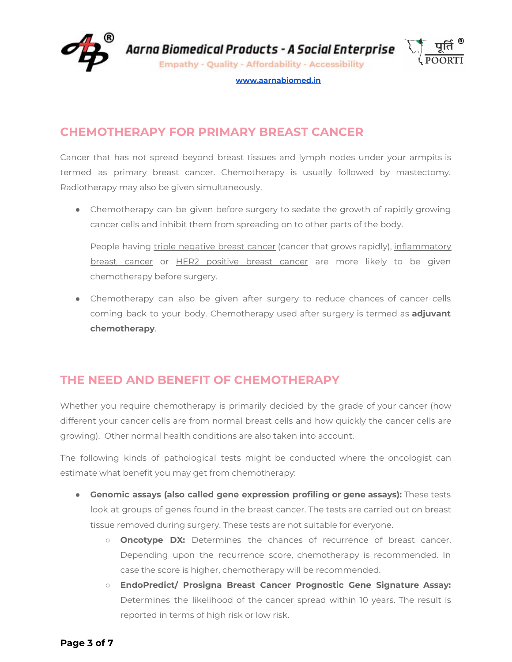

**Empathy - Quality - Affordability - Accessibility** 



**[www.aarnabiomed.in](http://www.aarnabiomed.in/)**

# **CHEMOTHERAPY FOR PRIMARY BREAST CANCER**

Cancer that has not spread beyond breast tissues and lymph nodes under your armpits is termed as primary breast cancer. Chemotherapy is usually followed by mastectomy. Radiotherapy may also be given simultaneously.

• Chemotherapy can be given before surgery to sedate the growth of rapidly growing cancer cells and inhibit them from spreading on to other parts of the body.

People having triple negative breast cancer (cancer that grows rapidly), inflammatory breast cancer or HER2 positive breast cancer are more likely to be given chemotherapy before surgery.

● Chemotherapy can also be given after surgery to reduce chances of cancer cells coming back to your body. Chemotherapy used after surgery is termed as **adjuvant chemotherapy**.

# **THE NEED AND BENEFIT OF CHEMOTHERAPY**

Whether you require chemotherapy is primarily decided by the grade of your cancer (how different your cancer cells are from normal breast cells and how quickly the cancer cells are growing). Other normal health conditions are also taken into account.

The following kinds of pathological tests might be conducted where the oncologist can estimate what benefit you may get from chemotherapy:

- **Genomic assays (also called gene expression profiling or gene assays):** These tests look at groups of genes found in the breast cancer. The tests are carried out on breast tissue removed during surgery. These tests are not suitable for everyone.
	- **Oncotype DX:** Determines the chances of recurrence of breast cancer. Depending upon the recurrence score, chemotherapy is recommended. In case the score is higher, chemotherapy will be recommended.
	- **EndoPredict/ Prosigna Breast Cancer Prognostic Gene Signature Assay:** Determines the likelihood of the cancer spread within 10 years. The result is reported in terms of high risk or low risk.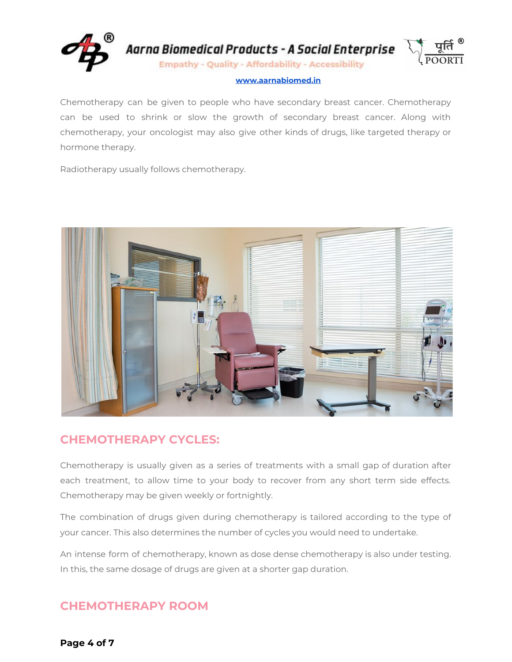

Chemotherapy can be given to people who have secondary breast cancer. Chemotherapy can be used to shrink or slow the growth of secondary breast cancer. Along with chemotherapy, your oncologist may also give other kinds of drugs, like targeted therapy or hormone therapy.

Radiotherapy usually follows chemotherapy.



## **CHEMOTHERAPY CYCLES:**

Chemotherapy is usually given as a series of treatments with a small gap of duration after each treatment, to allow time to your body to recover from any short term side effects. Chemotherapy may be given weekly or fortnightly.

The combination of drugs given during chemotherapy is tailored according to the type of your cancer. This also determines the number of cycles you would need to undertake.

An intense form of chemotherapy, known as dose dense chemotherapy is also under testing. In this, the same dosage of drugs are given at a shorter gap duration.

# **CHEMOTHERAPY ROOM**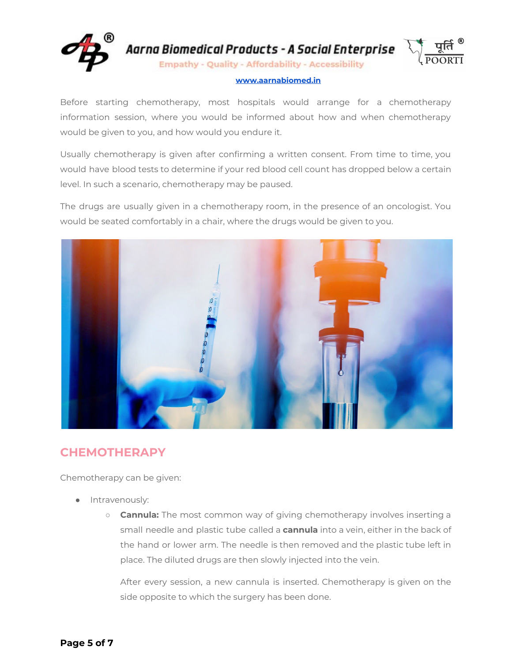

Before starting chemotherapy, most hospitals would arrange for a chemotherapy information session, where you would be informed about how and when chemotherapy would be given to you, and how would you endure it.

Usually chemotherapy is given after confirming a written consent. From time to time, you would have blood tests to determine if your red blood cell count has dropped below a certain level. In such a scenario, chemotherapy may be paused.

The drugs are usually given in a chemotherapy room, in the presence of an oncologist. You would be seated comfortably in a chair, where the drugs would be given to you.



## **CHEMOTHERAPY**

Chemotherapy can be given:

- Intravenously:
	- **Cannula:** The most common way of giving chemotherapy involves inserting a small needle and plastic tube called a **cannula** into a vein, either in the back of the hand or lower arm. The needle is then removed and the plastic tube left in place. The diluted drugs are then slowly injected into the vein.

After every session, a new cannula is inserted. Chemotherapy is given on the side opposite to which the surgery has been done.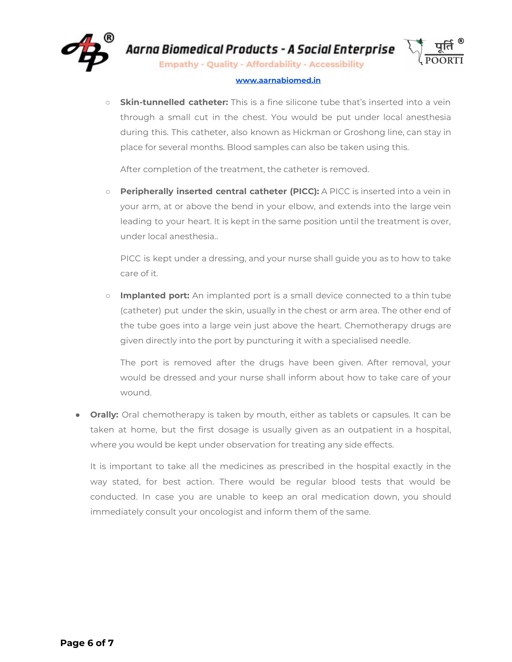

**Empathy - Quality - Affordability - Accessibility** 

### **[www.aarnabiomed.in](http://www.aarnabiomed.in/)**

○ **Skin-tunnelled catheter:** This is a fine silicone tube that's inserted into a vein through a small cut in the chest. You would be put under local anesthesia during this. This catheter, also known as Hickman or Groshong line, can stay in place for several months. Blood samples can also be taken using this.

After completion of the treatment, the catheter is removed.

○ **Peripherally inserted central catheter (PICC):** A PICC is inserted into a vein in your arm, at or above the bend in your elbow, and extends into the large vein leading to your heart. It is kept in the same position until the treatment is over, under local anesthesia..

PICC is kept under a dressing, and your nurse shall guide you as to how to take care of it.

○ **Implanted port:** An implanted port is a small device connected to a thin tube (catheter) put under the skin, usually in the chest or arm area. The other end of the tube goes into a large vein just above the heart. Chemotherapy drugs are given directly into the port by puncturing it with a specialised needle.

The port is removed after the drugs have been given. After removal, your would be dressed and your nurse shall inform about how to take care of your wound.

● **Orally:** Oral chemotherapy is taken by mouth, either as tablets or capsules. It can be taken at home, but the first dosage is usually given as an outpatient in a hospital, where you would be kept under observation for treating any side effects.

It is important to take all the medicines as prescribed in the hospital exactly in the way stated, for best action. There would be regular blood tests that would be conducted. In case you are unable to keep an oral medication down, you should immediately consult your oncologist and inform them of the same.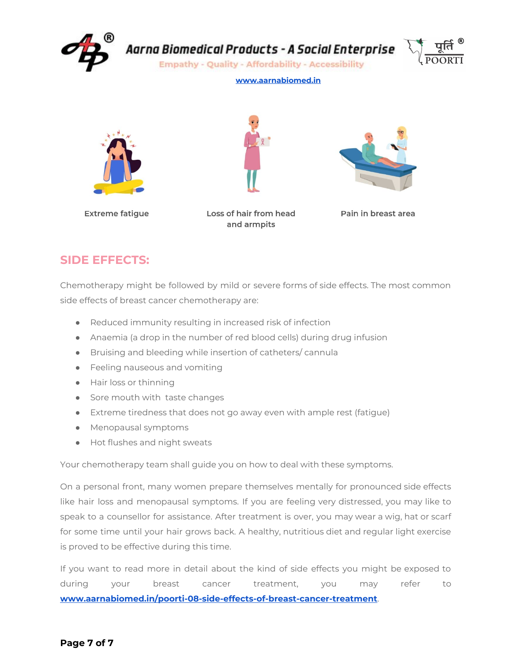

**Empathy - Quality - Affordability - Accessibility** 



### **[www.aarnabiomed.in](http://www.aarnabiomed.in/)**







**Extreme fatigue** 

Loss of hair from head and armpits

Pain in breast area

### **SIDE EFFECTS:**

Chemotherapy might be followed by mild or severe forms of side effects. The most common side effects of breast cancer chemotherapy are:

- Reduced immunity resulting in increased risk of infection
- Anaemia (a drop in the number of red blood cells) during drug infusion
- Bruising and bleeding while insertion of catheters/ cannula
- Feeling nauseous and vomiting
- Hair loss or thinning
- Sore mouth with taste changes
- Extreme tiredness that does not go away even with ample rest (fatigue)
- Menopausal symptoms
- Hot flushes and night sweats

Your chemotherapy team shall guide you on how to deal with these symptoms.

On a personal front, many women prepare themselves mentally for pronounced side effects like hair loss and menopausal symptoms. If you are feeling very distressed, you may like to speak to a counsellor for assistance. After treatment is over, you may wear a wig, hat or scarf for some time until your hair grows back. A healthy, nutritious diet and regular light exercise is proved to be effective during this time.

If you want to read more in detail about the kind of side effects you might be exposed to during your breast cancer treatment, you may refer to **[www.aarnabiomed.in/poorti-08-side-effects-of-breast-cancer-treatment](http://www.aarnabiomed.in/poorti-08-side-effects-of-breast-cancer-treatment/)**.